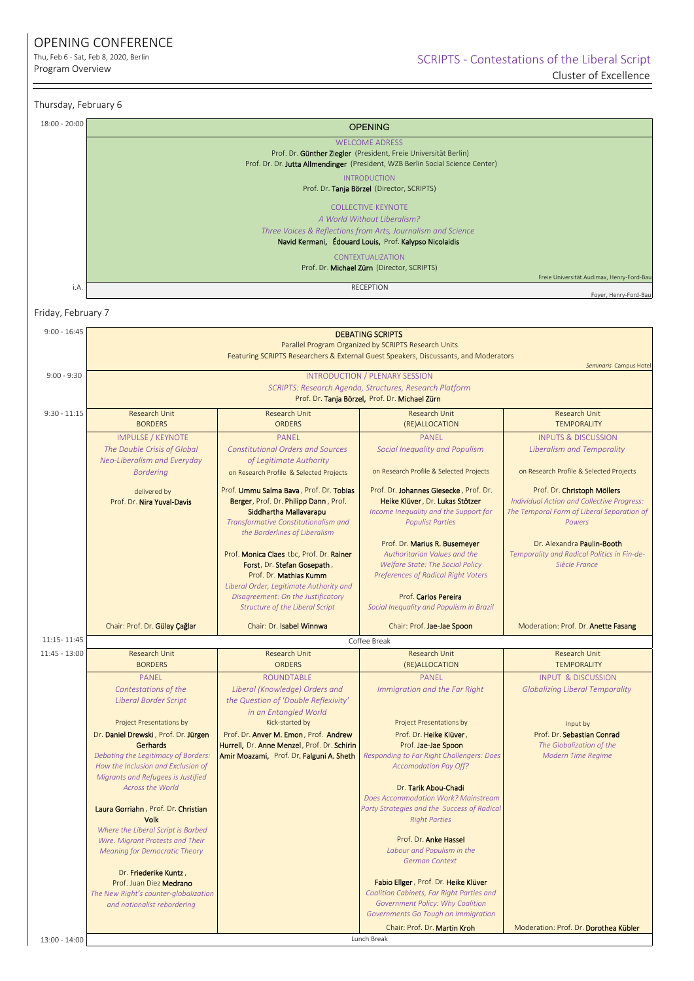## OPENING CONFERENCE

Thu, Feb 6 ‐ Sat, Feb 8, 2020, Berlin Program Overview

| Thursday, February 6 |                                                                                                                                                                                                                                                                                                                                                                                                                                                                                                                                       |                                                                                                                                                                                                                                                                                                                                                                           |                                                                                                                                                                                                                                                                                                                                                                                                                                                                                                                                               |                                                                                                                                                                                                                                 |  |  |  |
|----------------------|---------------------------------------------------------------------------------------------------------------------------------------------------------------------------------------------------------------------------------------------------------------------------------------------------------------------------------------------------------------------------------------------------------------------------------------------------------------------------------------------------------------------------------------|---------------------------------------------------------------------------------------------------------------------------------------------------------------------------------------------------------------------------------------------------------------------------------------------------------------------------------------------------------------------------|-----------------------------------------------------------------------------------------------------------------------------------------------------------------------------------------------------------------------------------------------------------------------------------------------------------------------------------------------------------------------------------------------------------------------------------------------------------------------------------------------------------------------------------------------|---------------------------------------------------------------------------------------------------------------------------------------------------------------------------------------------------------------------------------|--|--|--|
| $18:00 - 20:00$      | <b>OPENING</b>                                                                                                                                                                                                                                                                                                                                                                                                                                                                                                                        |                                                                                                                                                                                                                                                                                                                                                                           |                                                                                                                                                                                                                                                                                                                                                                                                                                                                                                                                               |                                                                                                                                                                                                                                 |  |  |  |
|                      | <b>WELCOME ADRESS</b><br>Prof. Dr. Günther Ziegler (President, Freie Universität Berlin)<br>Prof. Dr. Dr. Jutta Allmendinger (President, WZB Berlin Social Science Center)<br><b>INTRODUCTION</b><br>Prof. Dr. Tanja Börzel (Director, SCRIPTS)                                                                                                                                                                                                                                                                                       |                                                                                                                                                                                                                                                                                                                                                                           |                                                                                                                                                                                                                                                                                                                                                                                                                                                                                                                                               |                                                                                                                                                                                                                                 |  |  |  |
|                      | <b>COLLECTIVE KEYNOTE</b><br>A World Without Liberalism?<br>Three Voices & Reflections from Arts, Journalism and Science<br>Navid Kermani, Édouard Louis, Prof. Kalypso Nicolaidis                                                                                                                                                                                                                                                                                                                                                    |                                                                                                                                                                                                                                                                                                                                                                           |                                                                                                                                                                                                                                                                                                                                                                                                                                                                                                                                               |                                                                                                                                                                                                                                 |  |  |  |
|                      | <b>CONTEXTUALIZATION</b><br>Prof. Dr. Michael Zürn (Director, SCRIPTS)<br>Freie Universität Audimax, Henry-Ford-Bau                                                                                                                                                                                                                                                                                                                                                                                                                   |                                                                                                                                                                                                                                                                                                                                                                           |                                                                                                                                                                                                                                                                                                                                                                                                                                                                                                                                               |                                                                                                                                                                                                                                 |  |  |  |
| i.A.                 |                                                                                                                                                                                                                                                                                                                                                                                                                                                                                                                                       | <b>RECEPTION</b><br>Foyer, Henry-Ford-Bau                                                                                                                                                                                                                                                                                                                                 |                                                                                                                                                                                                                                                                                                                                                                                                                                                                                                                                               |                                                                                                                                                                                                                                 |  |  |  |
| Friday, February 7   |                                                                                                                                                                                                                                                                                                                                                                                                                                                                                                                                       |                                                                                                                                                                                                                                                                                                                                                                           |                                                                                                                                                                                                                                                                                                                                                                                                                                                                                                                                               |                                                                                                                                                                                                                                 |  |  |  |
| $9:00 - 16:45$       | <b>DEBATING SCRIPTS</b><br>Parallel Program Organized by SCRIPTS Research Units                                                                                                                                                                                                                                                                                                                                                                                                                                                       |                                                                                                                                                                                                                                                                                                                                                                           |                                                                                                                                                                                                                                                                                                                                                                                                                                                                                                                                               |                                                                                                                                                                                                                                 |  |  |  |
|                      | Featuring SCRIPTS Researchers & External Guest Speakers, Discussants, and Moderators<br>Seminaris Campus Hote                                                                                                                                                                                                                                                                                                                                                                                                                         |                                                                                                                                                                                                                                                                                                                                                                           |                                                                                                                                                                                                                                                                                                                                                                                                                                                                                                                                               |                                                                                                                                                                                                                                 |  |  |  |
| $9:00 - 9:30$        | <b>INTRODUCTION / PLENARY SESSION</b><br>SCRIPTS: Research Agenda, Structures, Research Platform<br>Prof. Dr. Tanja Börzel, Prof. Dr. Michael Zürn                                                                                                                                                                                                                                                                                                                                                                                    |                                                                                                                                                                                                                                                                                                                                                                           |                                                                                                                                                                                                                                                                                                                                                                                                                                                                                                                                               |                                                                                                                                                                                                                                 |  |  |  |
| $9:30 - 11:15$       | <b>Research Unit</b><br><b>BORDERS</b>                                                                                                                                                                                                                                                                                                                                                                                                                                                                                                | Research Unit<br><b>ORDERS</b>                                                                                                                                                                                                                                                                                                                                            | Research Unit<br>(RE)ALLOCATION                                                                                                                                                                                                                                                                                                                                                                                                                                                                                                               | Research Unit<br><b>TEMPORALITY</b>                                                                                                                                                                                             |  |  |  |
|                      | <b>IMPULSE / KEYNOTE</b><br>The Double Crisis of Global<br>Neo-Liberalism and Everyday<br><b>Bordering</b>                                                                                                                                                                                                                                                                                                                                                                                                                            | <b>PANEL</b><br><b>Constitutional Orders and Sources</b><br>of Legitimate Authority<br>on Research Profile & Selected Projects                                                                                                                                                                                                                                            | <b>PANEL</b><br>Social Inequality and Populism<br>on Research Profile & Selected Projects                                                                                                                                                                                                                                                                                                                                                                                                                                                     | <b>INPUTS &amp; DISCUSSION</b><br><b>Liberalism and Temporality</b><br>on Research Profile & Selected Projects                                                                                                                  |  |  |  |
|                      | delivered by<br>Prof. Dr. Nira Yuval-Davis                                                                                                                                                                                                                                                                                                                                                                                                                                                                                            | Prof. Ummu Salma Bava, Prof. Dr. Tobias<br>Berger, Prof. Dr. Philipp Dann, Prof.<br>Siddhartha Mallavarapu<br>Transformative Constitutionalism and<br>the Borderlines of Liberalism<br>Prof. Monica Claes tbc, Prof. Dr. Rainer<br>Forst, Dr. Stefan Gosepath,<br>Prof. Dr. Mathias Kumm<br>Liberal Order, Legitimate Authority and<br>Disagreement: On the Justificatory | Prof. Dr. Johannes Giesecke, Prof. Dr.<br>Heike Klüver, Dr. Lukas Stötzer<br>Income Inequality and the Support for<br><b>Populist Parties</b><br>Prof. Dr. Marius R. Busemeyer<br>Authoritarian Values and the<br><b>Welfare State: The Social Policy</b><br><b>Preferences of Radical Right Voters</b><br>Prof. Carlos Pereira                                                                                                                                                                                                               | Prof. Dr. Christoph Möllers<br>Individual Action and Collective Progress:<br>The Temporal Form of Liberal Separation of<br>Powers<br>Dr. Alexandra Paulin-Booth<br>Temporality and Radical Politics in Fin-de-<br>Siècle France |  |  |  |
|                      |                                                                                                                                                                                                                                                                                                                                                                                                                                                                                                                                       | <b>Structure of the Liberal Script</b>                                                                                                                                                                                                                                                                                                                                    | Social Inequality and Populism in Brazil                                                                                                                                                                                                                                                                                                                                                                                                                                                                                                      |                                                                                                                                                                                                                                 |  |  |  |
| 11:15-11:45          | Chair: Prof. Dr. <b>Gülay Çağlar</b>                                                                                                                                                                                                                                                                                                                                                                                                                                                                                                  | Chair: Dr. Isabel Winnwa                                                                                                                                                                                                                                                                                                                                                  | Chair: Prof. Jae-Jae Spoon<br>Coffee Break                                                                                                                                                                                                                                                                                                                                                                                                                                                                                                    | Moderation: Prof. Dr. Anette Fasang                                                                                                                                                                                             |  |  |  |
| $11:45 - 13:00$      | Research Unit                                                                                                                                                                                                                                                                                                                                                                                                                                                                                                                         | Research Unit                                                                                                                                                                                                                                                                                                                                                             | <b>Research Unit</b>                                                                                                                                                                                                                                                                                                                                                                                                                                                                                                                          | Research Unit                                                                                                                                                                                                                   |  |  |  |
|                      | <b>BORDERS</b>                                                                                                                                                                                                                                                                                                                                                                                                                                                                                                                        | <b>ORDERS</b>                                                                                                                                                                                                                                                                                                                                                             | (RE)ALLOCATION                                                                                                                                                                                                                                                                                                                                                                                                                                                                                                                                | <b>TEMPORALITY</b>                                                                                                                                                                                                              |  |  |  |
|                      | PANEL<br>Contestations of the<br><b>Liberal Border Script</b>                                                                                                                                                                                                                                                                                                                                                                                                                                                                         | <b>ROUNDTABLE</b><br>Liberal (Knowledge) Orders and<br>the Question of 'Double Reflexivity'<br>in an Entangled World                                                                                                                                                                                                                                                      | <b>PANEL</b><br>Immigration and the Far Right                                                                                                                                                                                                                                                                                                                                                                                                                                                                                                 | <b>INPUT &amp; DISCUSSION</b><br><b>Globalizing Liberal Temporality</b>                                                                                                                                                         |  |  |  |
|                      | <b>Project Presentations by</b><br>Dr. Daniel Drewski, Prof. Dr. Jürgen<br>Gerhards<br>Debating the Legitimacy of Borders:<br>How the Inclusion and Exclusion of<br>Migrants and Refugees is Justified<br><b>Across the World</b><br>Laura Gorriahn, Prof. Dr. Christian<br><b>Volk</b><br>Where the Liberal Script is Barbed<br>Wire. Migrant Protests and Their<br><b>Meaning for Democratic Theory</b><br>Dr. Friederike Kuntz,<br>Prof. Juan Diez Medrano<br>The New Right's counter-globalization<br>and nationalist rebordering | Kick-started by<br>Prof. Dr. Anver M. Emon, Prof. Andrew<br>Hurrell, Dr. Anne Menzel, Prof. Dr. Schirin<br>Amir Moazami, Prof. Dr. Falguni A. Sheth                                                                                                                                                                                                                       | Project Presentations by<br>Prof. Dr. Heike Klüver,<br>Prof. Jae-Jae Spoon<br>Responding to Far Right Challengers: Does<br><b>Accomodation Pay Off?</b><br>Dr. Tarik Abou-Chadi<br>Does Accommodation Work? Mainstream<br>Party Strategies and the Success of Radical<br><b>Right Parties</b><br>Prof. Dr. Anke Hassel<br>Labour and Populism in the<br><b>German Context</b><br>Fabio Ellger, Prof. Dr. Heike Kluver<br>Coalition Cabinets, Far Right Parties and<br>Government Policy: Why Coalition<br>Governments Go Tough on Immigration | Input by<br>Prof. Dr. Sebastian Conrad<br>The Globalization of the<br>Modern Time Regime                                                                                                                                        |  |  |  |
| 13:00 - 14:00        | Chair: Prof. Dr. Martin Kroh<br>Moderation: Prof. Dr. Dorothea Kübler<br>Lunch Break                                                                                                                                                                                                                                                                                                                                                                                                                                                  |                                                                                                                                                                                                                                                                                                                                                                           |                                                                                                                                                                                                                                                                                                                                                                                                                                                                                                                                               |                                                                                                                                                                                                                                 |  |  |  |